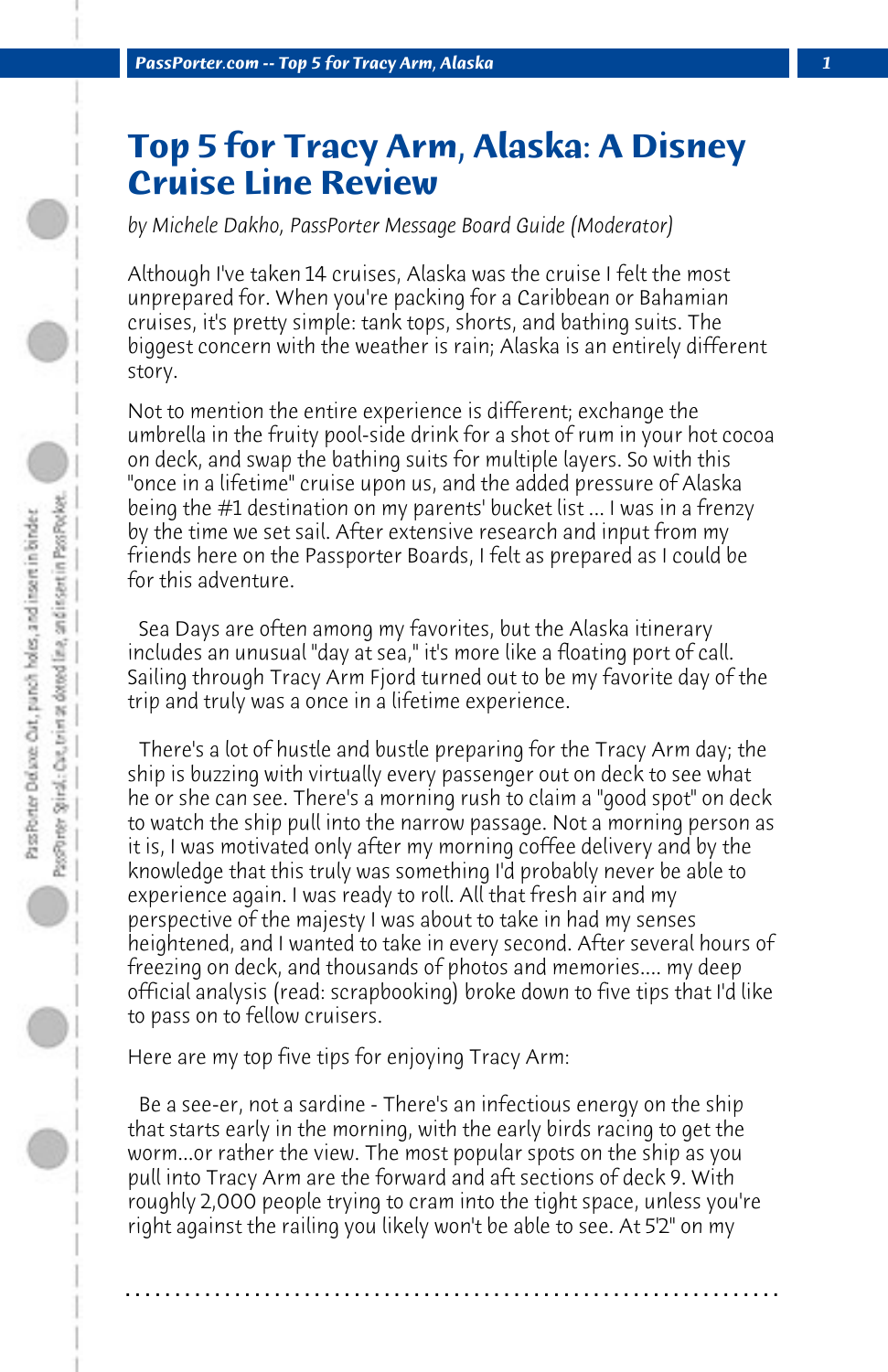## **Top 5 for Tracy Arm, Alaska: A Disney Cruise Line Review**

*by Michele Dakho, PassPorter Message Board Guide (Moderator)*

Although I've taken 14 cruises, Alaska was the cruise I felt the most unprepared for. When you're packing for a Caribbean or Bahamian cruises, it's pretty simple: tank tops, shorts, and bathing suits. The biggest concern with the weather is rain; Alaska is an entirely different story.

Not to mention the entire experience is different; exchange the umbrella in the fruity pool-side drink for a shot of rum in your hot cocoa on deck, and swap the bathing suits for multiple layers. So with this "once in a lifetime" cruise upon us, and the added pressure of Alaska being the #1 destination on my parents' bucket list ... I was in a frenzy by the time we set sail. After extensive research and input from my friends here on the Passporter Boards, I felt as prepared as I could be for this adventure.

 Sea Days are often among my favorites, but the Alaska itinerary includes an unusual "day at sea," it's more like a floating port of call. Sailing through Tracy Arm Fjord turned out to be my favorite day of the trip and truly was a once in a lifetime experience.

 There's a lot of hustle and bustle preparing for the Tracy Arm day; the ship is buzzing with virtually every passenger out on deck to see what he or she can see. There's a morning rush to claim a "good spot" on deck to watch the ship pull into the narrow passage. Not a morning person as it is, I was motivated only after my morning coffee delivery and by the knowledge that this truly was something I'd probably never be able to experience again. I was ready to roll. All that fresh air and my perspective of the majesty I was about to take in had my senses heightened, and I wanted to take in every second. After several hours of freezing on deck, and thousands of photos and memories.... my deep official analysis (read: scrapbooking) broke down to five tips that I'd like to pass on to fellow cruisers.

Here are my top five tips for enjoying Tracy Arm:

 Be a see-er, not a sardine - There's an infectious energy on the ship that starts early in the morning, with the early birds racing to get the worm...or rather the view. The most popular spots on the ship as you pull into Tracy Arm are the forward and aft sections of deck 9. With roughly 2,000 people trying to cram into the tight space, unless you're right against the railing you likely won't be able to see. At 5'2" on my

**. . . . . . . . . . . . . . . . . . . . . . . . . . . . . . . . . . . . . . . . . . . . . . . . . . . . . . . . . . . . . . . . . .**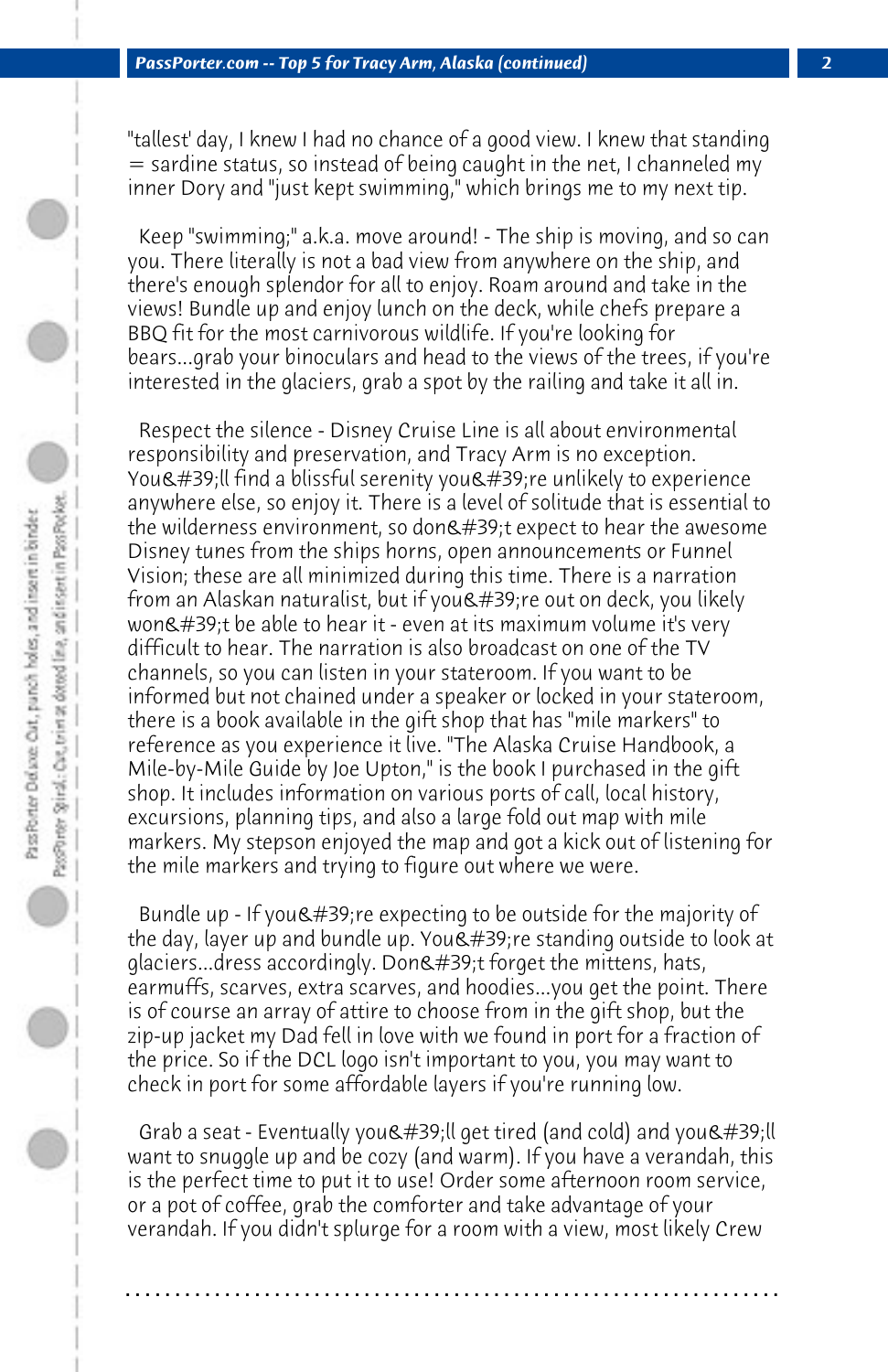"tallest' day, I knew I had no chance of a good view. I knew that standing  $=$  sardine status, so instead of being caught in the net, I channeled my inner Dory and "just kept swimming," which brings me to my next tip.

 Keep "swimming;" a.k.a. move around! - The ship is moving, and so can you. There literally is not a bad view from anywhere on the ship, and there's enough splendor for all to enjoy. Roam around and take in the views! Bundle up and enjoy lunch on the deck, while chefs prepare a BBQ fit for the most carnivorous wildlife. If you're looking for bears...grab your binoculars and head to the views of the trees, if you're interested in the glaciers, grab a spot by the railing and take it all in.

 Respect the silence - Disney Cruise Line is all about environmental responsibility and preservation, and Tracy Arm is no exception. You'll find a blissful serenity you're unlikely to experience anywhere else, so enjoy it. There is a level of solitude that is essential to the wilderness environment, so don't expect to hear the awesome Disney tunes from the ships horns, open announcements or Funnel Vision; these are all minimized during this time. There is a narration from an Alaskan naturalist, but if you're out on deck, you likely won't be able to hear it - even at its maximum volume it's very difficult to hear. The narration is also broadcast on one of the TV channels, so you can listen in your stateroom. If you want to be informed but not chained under a speaker or locked in your stateroom, there is a book available in the gift shop that has "mile markers" to reference as you experience it live. "The Alaska Cruise Handbook, a Mile-by-Mile Guide by Joe Upton," is the book I purchased in the gift shop. It includes information on various ports of call, local history, excursions, planning tips, and also a large fold out map with mile markers. My stepson enjoyed the map and got a kick out of listening for the mile markers and trying to figure out where we were.

Bundle up - If you  $\&\#39$ ; re expecting to be outside for the majority of the day, layer up and bundle up. You  $\&\#39$ ; re standing outside to look at glaciers...dress accordingly. Don't forget the mittens, hats, earmuffs, scarves, extra scarves, and hoodies...you get the point. There is of course an array of attire to choose from in the gift shop, but the zip-up jacket my Dad fell in love with we found in port for a fraction of the price. So if the DCL logo isn't important to you, you may want to check in port for some affordable layers if you're running low.

Grab a seat - Eventually you'll get tired (and cold) and you'll want to snuggle up and be cozy (and warm). If you have a verandah, this is the perfect time to put it to use! Order some afternoon room service, or a pot of coffee, grab the comforter and take advantage of your verandah. If you didn't splurge for a room with a view, most likely Crew

**. . . . . . . . . . . . . . . . . . . . . . . . . . . . . . . . . . . . . . . . . . . . . . . . . . . . . . . . . . . . . . . . . .**